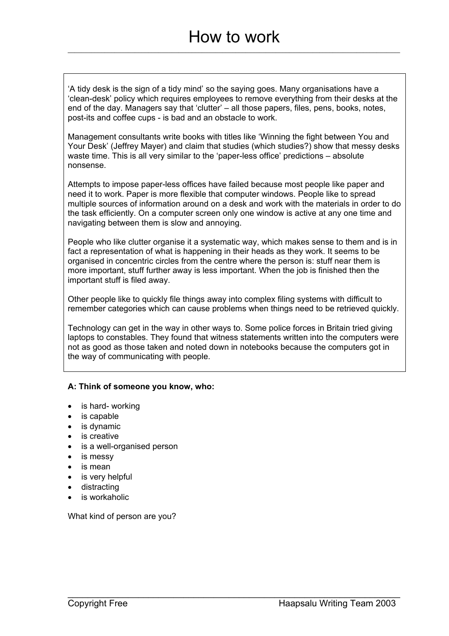'A tidy desk is the sign of a tidy mind' so the saying goes. Many organisations have a 'clean-desk' policy which requires employees to remove everything from their desks at the end of the day. Managers say that 'clutter' – all those papers, files, pens, books, notes, post-its and coffee cups - is bad and an obstacle to work.

Management consultants write books with titles like 'Winning the fight between You and Your Desk' (Jeffrey Mayer) and claim that studies (which studies?) show that messy desks waste time. This is all very similar to the 'paper-less office' predictions – absolute nonsense.

Attempts to impose paper-less offices have failed because most people like paper and need it to work. Paper is more flexible that computer windows. People like to spread multiple sources of information around on a desk and work with the materials in order to do the task efficiently. On a computer screen only one window is active at any one time and navigating between them is slow and annoying.

People who like clutter organise it a systematic way, which makes sense to them and is in fact a representation of what is happening in their heads as they work. It seems to be organised in concentric circles from the centre where the person is: stuff near them is more important, stuff further away is less important. When the job is finished then the important stuff is filed away.

Other people like to quickly file things away into complex filing systems with difficult to remember categories which can cause problems when things need to be retrieved quickly.

Technology can get in the way in other ways to. Some police forces in Britain tried giving laptops to constables. They found that witness statements written into the computers were not as good as those taken and noted down in notebooks because the computers got in the way of communicating with people.

 $\_$ 

# **A: Think of someone you know, who:**

- is hard- working
- is capable
- is dynamic
- is creative
- is a well-organised person
- is messy
- is mean
- is very helpful
- distracting
- is workaholic

What kind of person are you?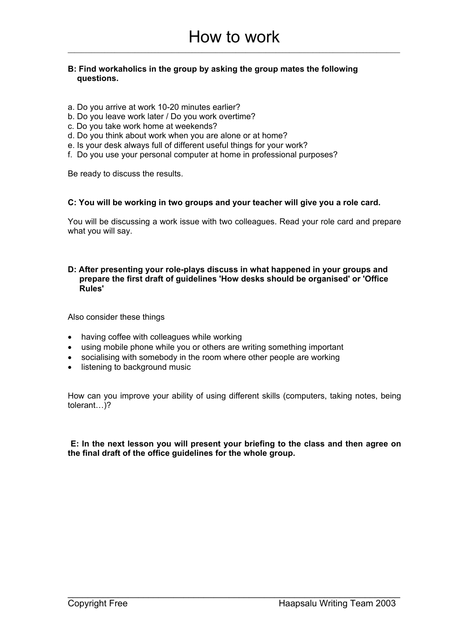# **B: Find workaholics in the group by asking the group mates the following questions.**

- a. Do you arrive at work 10-20 minutes earlier?
- b. Do you leave work later / Do you work overtime?
- c. Do you take work home at weekends?
- d. Do you think about work when you are alone or at home?
- e. Is your desk always full of different useful things for your work?
- f. Do you use your personal computer at home in professional purposes?

Be ready to discuss the results.

# **C: You will be working in two groups and your teacher will give you a role card.**

You will be discussing a work issue with two colleagues. Read your role card and prepare what you will say.

#### **D: After presenting your role-plays discuss in what happened in your groups and prepare the first draft of guidelines 'How desks should be organised' or 'Office Rules'**

Also consider these things

- having coffee with colleagues while working
- using mobile phone while you or others are writing something important
- socialising with somebody in the room where other people are working
- listening to background music

How can you improve your ability of using different skills (computers, taking notes, being tolerant…)?

# **E: In the next lesson you will present your briefing to the class and then agree on the final draft of the office guidelines for the whole group.**

 $\_$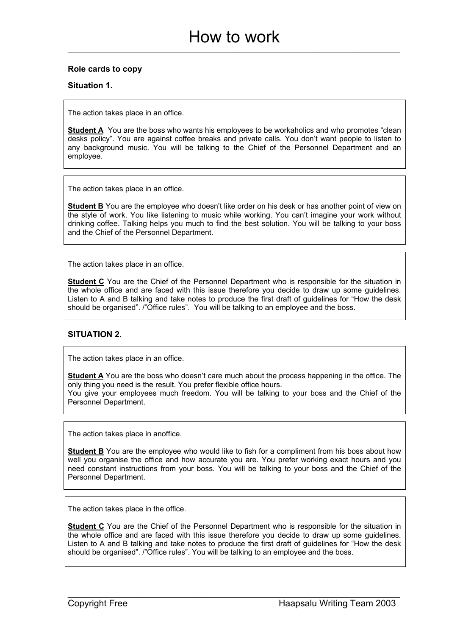#### **Role cards to copy**

# **Situation 1.**

The action takes place in an office.

**Student A** You are the boss who wants his employees to be workaholics and who promotes "clean desks policy". You are against coffee breaks and private calls. You don't want people to listen to any background music. You will be talking to the Chief of the Personnel Department and an employee.

The action takes place in an office.

**Student B** You are the employee who doesn't like order on his desk or has another point of view on the style of work. You like listening to music while working. You can't imagine your work without drinking coffee. Talking helps you much to find the best solution. You will be talking to your boss and the Chief of the Personnel Department.

The action takes place in an office.

**Student C** You are the Chief of the Personnel Department who is responsible for the situation in the whole office and are faced with this issue therefore you decide to draw up some guidelines. Listen to A and B talking and take notes to produce the first draft of guidelines for "How the desk should be organised". /"Office rules". You will be talking to an employee and the boss.

#### **SITUATION 2.**

The action takes place in an office.

**Student A** You are the boss who doesn't care much about the process happening in the office. The only thing you need is the result. You prefer flexible office hours. You give your employees much freedom. You will be talking to your boss and the Chief of the Personnel Department.

The action takes place in anoffice.

**Student B** You are the employee who would like to fish for a compliment from his boss about how well you organise the office and how accurate you are. You prefer working exact hours and you need constant instructions from your boss. You will be talking to your boss and the Chief of the Personnel Department.

The action takes place in the office.

**Student C** You are the Chief of the Personnel Department who is responsible for the situation in the whole office and are faced with this issue therefore you decide to draw up some guidelines. Listen to A and B talking and take notes to produce the first draft of guidelines for "How the desk should be organised". /"Office rules". You will be talking to an employee and the boss.

 $\_$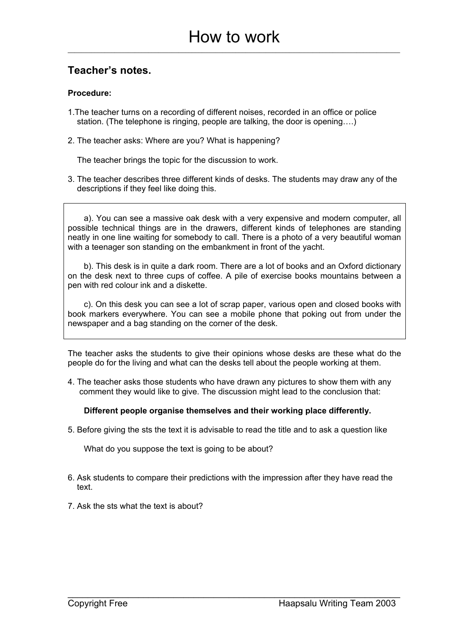# **Teacher's notes.**

# **Procedure:**

- 1.The teacher turns on a recording of different noises, recorded in an office or police station. (The telephone is ringing, people are talking, the door is opening….)
- 2. The teacher asks: Where are you? What is happening?

The teacher brings the topic for the discussion to work.

3. The teacher describes three different kinds of desks. The students may draw any of the descriptions if they feel like doing this.

a). You can see a massive oak desk with a very expensive and modern computer, all possible technical things are in the drawers, different kinds of telephones are standing neatly in one line waiting for somebody to call. There is a photo of a very beautiful woman with a teenager son standing on the embankment in front of the yacht.

b). This desk is in quite a dark room. There are a lot of books and an Oxford dictionary on the desk next to three cups of coffee. A pile of exercise books mountains between a pen with red colour ink and a diskette.

c). On this desk you can see a lot of scrap paper, various open and closed books with book markers everywhere. You can see a mobile phone that poking out from under the newspaper and a bag standing on the corner of the desk.

The teacher asks the students to give their opinions whose desks are these what do the people do for the living and what can the desks tell about the people working at them.

4. The teacher asks those students who have drawn any pictures to show them with any comment they would like to give. The discussion might lead to the conclusion that:

**Different people organise themselves and their working place differently.**

5. Before giving the sts the text it is advisable to read the title and to ask a question like

What do you suppose the text is going to be about?

6. Ask students to compare their predictions with the impression after they have read the text.

 $\_$ 

7. Ask the sts what the text is about?